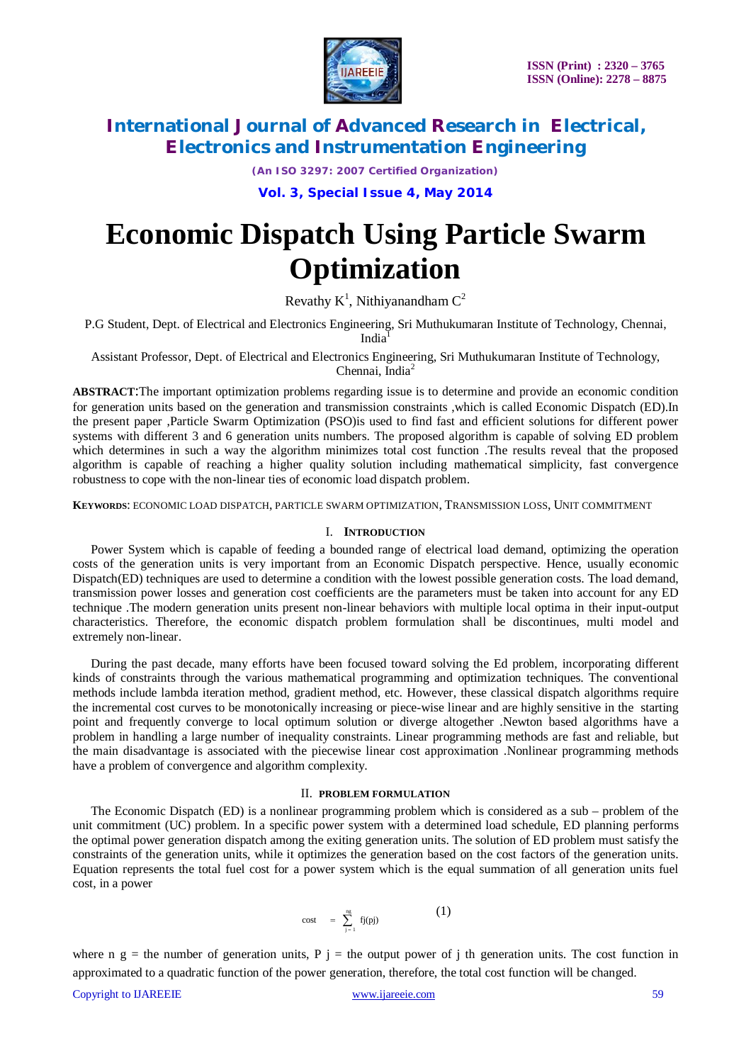

*(An ISO 3297: 2007 Certified Organization)*

**Vol. 3, Special Issue 4, May 2014**

# **Economic Dispatch Using Particle Swarm Optimization**

Revathy  $K^1$ , Nithiyanandham  $C^2$ 

P.G Student, Dept. of Electrical and Electronics Engineering, Sri Muthukumaran Institute of Technology, Chennai, India

Assistant Professor, Dept. of Electrical and Electronics Engineering, Sri Muthukumaran Institute of Technology, Chennai, India $^2$ 

**ABSTRACT**:The important optimization problems regarding issue is to determine and provide an economic condition for generation units based on the generation and transmission constraints ,which is called Economic Dispatch (ED).In the present paper ,Particle Swarm Optimization (PSO)is used to find fast and efficient solutions for different power systems with different 3 and 6 generation units numbers. The proposed algorithm is capable of solving ED problem which determines in such a way the algorithm minimizes total cost function. The results reveal that the proposed algorithm is capable of reaching a higher quality solution including mathematical simplicity, fast convergence robustness to cope with the non-linear ties of economic load dispatch problem.

**KEYWORDS**: ECONOMIC LOAD DISPATCH, PARTICLE SWARM OPTIMIZATION, TRANSMISSION LOSS, UNIT COMMITMENT

### I. **INTRODUCTION**

Power System which is capable of feeding a bounded range of electrical load demand, optimizing the operation costs of the generation units is very important from an Economic Dispatch perspective. Hence, usually economic Dispatch(ED) techniques are used to determine a condition with the lowest possible generation costs. The load demand, transmission power losses and generation cost coefficients are the parameters must be taken into account for any ED technique .The modern generation units present non-linear behaviors with multiple local optima in their input-output characteristics. Therefore, the economic dispatch problem formulation shall be discontinues, multi model and extremely non-linear.

During the past decade, many efforts have been focused toward solving the Ed problem, incorporating different kinds of constraints through the various mathematical programming and optimization techniques. The conventional methods include lambda iteration method, gradient method, etc. However, these classical dispatch algorithms require the incremental cost curves to be monotonically increasing or piece-wise linear and are highly sensitive in the starting point and frequently converge to local optimum solution or diverge altogether .Newton based algorithms have a problem in handling a large number of inequality constraints. Linear programming methods are fast and reliable, but the main disadvantage is associated with the piecewise linear cost approximation .Nonlinear programming methods have a problem of convergence and algorithm complexity.

#### II. **PROBLEM FORMULATION**

The Economic Dispatch (ED) is a nonlinear programming problem which is considered as a sub – problem of the unit commitment (UC) problem. In a specific power system with a determined load schedule, ED planning performs the optimal power generation dispatch among the exiting generation units. The solution of ED problem must satisfy the constraints of the generation units, while it optimizes the generation based on the cost factors of the generation units. Equation represents the total fuel cost for a power system which is the equal summation of all generation units fuel cost, in a power

$$
\quad \ \ \text{cost} \quad = \ \sum_{j\, =\, 1}^{\, \text{ng}} \ f j(pj) \qquad \qquad \text{(1)}
$$

where n g = the number of generation units, P j = the output power of j th generation units. The cost function in approximated to a quadratic function of the power generation, therefore, the total cost function will be changed.

Copyright to IJAREEIE www.ijareeie.com 59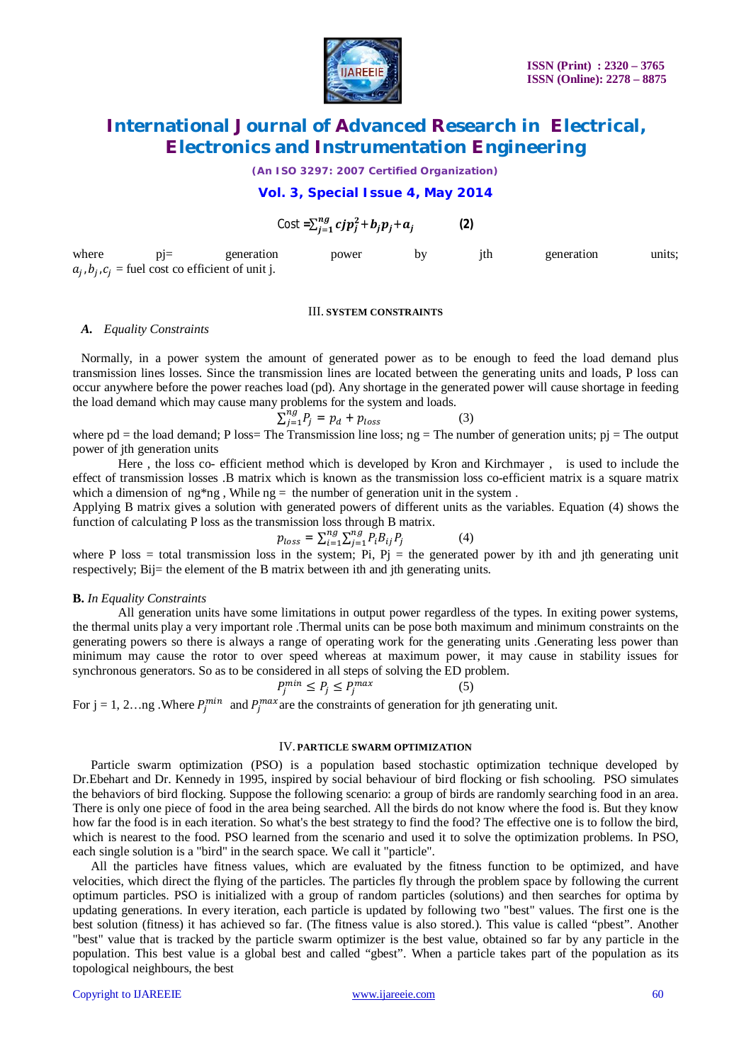

*(An ISO 3297: 2007 Certified Organization)*

## **Vol. 3, Special Issue 4, May 2014**

$$
\text{Cost} = \sum_{j=1}^{ng} cjp_j^2 + b_jp_j + a_j \tag{2}
$$

where pj= generation power by jth generation units;  $a_j$ ,  $b_j$ ,  $c_j$  = fuel cost co efficient of unit j.

### III. **SYSTEM CONSTRAINTS**

### *A. Equality Constraints*

Normally, in a power system the amount of generated power as to be enough to feed the load demand plus transmission lines losses. Since the transmission lines are located between the generating units and loads, P loss can occur anywhere before the power reaches load (pd). Any shortage in the generated power will cause shortage in feeding the load demand which may cause many problems for the system and loads.

$$
\sum_{j=1}^{n} P_j = p_d + p_{loss} \tag{3}
$$

where pd = the load demand; P loss= The Transmission line loss;  $ng$  = The number of generation units;  $pi$  = The output power of jth generation units

Here , the loss co- efficient method which is developed by Kron and Kirchmayer , is used to include the effect of transmission losses .B matrix which is known as the transmission loss co-efficient matrix is a square matrix which a dimension of  $ng*ng$ , While  $ng =$  the number of generation unit in the system.

Applying B matrix gives a solution with generated powers of different units as the variables. Equation (4) shows the function of calculating P loss as the transmission loss through B matrix.

$$
p_{loss} = \sum_{i=1}^{ng} \sum_{j=1}^{ng} P_i B_{ij} P_j \tag{4}
$$

where P loss = total transmission loss in the system; Pi,  $Pi =$  the generated power by ith and jth generating unit respectively; Bij= the element of the B matrix between ith and jth generating units.

#### **B.** *In Equality Constraints*

All generation units have some limitations in output power regardless of the types. In exiting power systems, the thermal units play a very important role .Thermal units can be pose both maximum and minimum constraints on the generating powers so there is always a range of operating work for the generating units .Generating less power than minimum may cause the rotor to over speed whereas at maximum power, it may cause in stability issues for synchronous generators. So as to be considered in all steps of solving the ED problem.

$$
P_j^{min} \le P_j \le P_j^{max} \tag{5}
$$

For  $j = 1, 2...$ ng .Where  $P_j^{min}$  and  $P_j^{max}$  are the constraints of generation for jth generating unit.

### IV. **PARTICLE SWARM OPTIMIZATION**

Particle swarm optimization (PSO) is a population based stochastic optimization technique developed by Dr.Ebehart and Dr. Kennedy in 1995, inspired by social behaviour of bird flocking or fish schooling. PSO simulates the behaviors of bird flocking. Suppose the following scenario: a group of birds are randomly searching food in an area. There is only one piece of food in the area being searched. All the birds do not know where the food is. But they know how far the food is in each iteration. So what's the best strategy to find the food? The effective one is to follow the bird, which is nearest to the food. PSO learned from the scenario and used it to solve the optimization problems. In PSO, each single solution is a "bird" in the search space. We call it "particle".

All the particles have fitness values, which are evaluated by the fitness function to be optimized, and have velocities, which direct the flying of the particles. The particles fly through the problem space by following the current optimum particles. PSO is initialized with a group of random particles (solutions) and then searches for optima by updating generations. In every iteration, each particle is updated by following two "best" values. The first one is the best solution (fitness) it has achieved so far. (The fitness value is also stored.). This value is called "pbest". Another "best" value that is tracked by the particle swarm optimizer is the best value, obtained so far by any particle in the population. This best value is a global best and called "gbest". When a particle takes part of the population as its topological neighbours, the best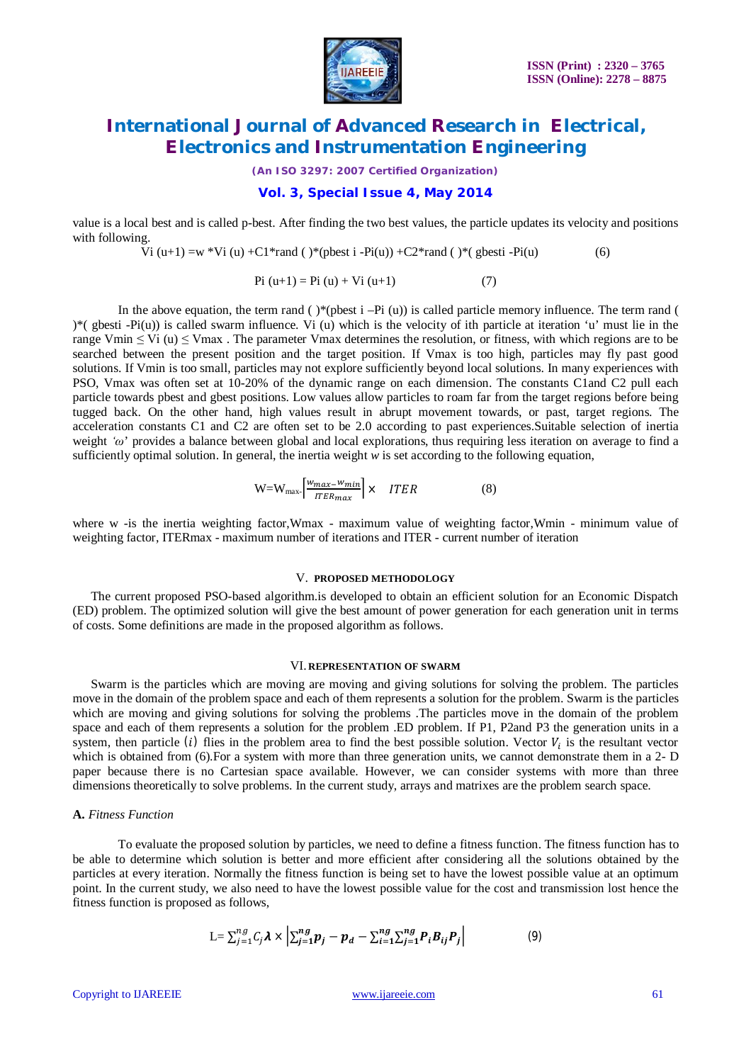

*(An ISO 3297: 2007 Certified Organization)*

### **Vol. 3, Special Issue 4, May 2014**

value is a local best and is called p-best. After finding the two best values, the particle updates its velocity and positions with following.

Vi (u+1) =w \*Vi (u) +C1\*rand ( )\*(pbest i -Pi(u)) +C2\*rand ( )\*( gbesti -Pi(u) (6)

$$
Pi (u+1) = Pi (u) + Vi (u+1)
$$
 (7)

In the above equation, the term rand ( )\*(pbest i -Pi (u)) is called particle memory influence. The term rand (  $(*)$ <sup>\*</sup>( gbesti -Pi(u)) is called swarm influence. Vi (u) which is the velocity of ith particle at iteration 'u' must lie in the range Vmin  $\leq$  Vi (u)  $\leq$  Vmax. The parameter Vmax determines the resolution, or fitness, with which regions are to be searched between the present position and the target position. If Vmax is too high, particles may fly past good solutions. If Vmin is too small, particles may not explore sufficiently beyond local solutions. In many experiences with PSO, Vmax was often set at 10-20% of the dynamic range on each dimension. The constants C1and C2 pull each particle towards pbest and gbest positions. Low values allow particles to roam far from the target regions before being tugged back. On the other hand, high values result in abrupt movement towards, or past, target regions. The acceleration constants C1 and C2 are often set to be 2.0 according to past experiences.Suitable selection of inertia weight *'ω*' provides a balance between global and local explorations, thus requiring less iteration on average to find a sufficiently optimal solution. In general, the inertia weight  $\hat{w}$  is set according to the following equation,

$$
W = W_{\text{max}} \left[ \frac{w_{\text{max}} - w_{\text{min}}}{\text{ITER}_{\text{max}}} \right] \times \quad ITER \tag{8}
$$

where w -is the inertia weighting factor, Wmax - maximum value of weighting factor, Wmin - minimum value of weighting factor, ITERmax - maximum number of iterations and ITER - current number of iteration

### V. **PROPOSED METHODOLOGY**

The current proposed PSO-based algorithm.is developed to obtain an efficient solution for an Economic Dispatch (ED) problem. The optimized solution will give the best amount of power generation for each generation unit in terms of costs. Some definitions are made in the proposed algorithm as follows.

#### VI. **REPRESENTATION OF SWARM**

Swarm is the particles which are moving are moving and giving solutions for solving the problem. The particles move in the domain of the problem space and each of them represents a solution for the problem. Swarm is the particles which are moving and giving solutions for solving the problems. The particles move in the domain of the problem space and each of them represents a solution for the problem .ED problem. If P1, P2and P3 the generation units in a system, then particle (i) flies in the problem area to find the best possible solution. Vector  $V_i$  is the resultant vector which is obtained from (6). For a system with more than three generation units, we cannot demonstrate them in a 2- D paper because there is no Cartesian space available. However, we can consider systems with more than three dimensions theoretically to solve problems. In the current study, arrays and matrixes are the problem search space.

#### **A.** *Fitness Function*

To evaluate the proposed solution by particles, we need to define a fitness function. The fitness function has to be able to determine which solution is better and more efficient after considering all the solutions obtained by the particles at every iteration. Normally the fitness function is being set to have the lowest possible value at an optimum point. In the current study, we also need to have the lowest possible value for the cost and transmission lost hence the fitness function is proposed as follows,

$$
L = \sum_{j=1}^{ng} C_j \lambda \times \left| \sum_{j=1}^{ng} p_j - p_d - \sum_{i=1}^{ng} \sum_{j=1}^{ng} P_i B_{ij} P_j \right| \tag{9}
$$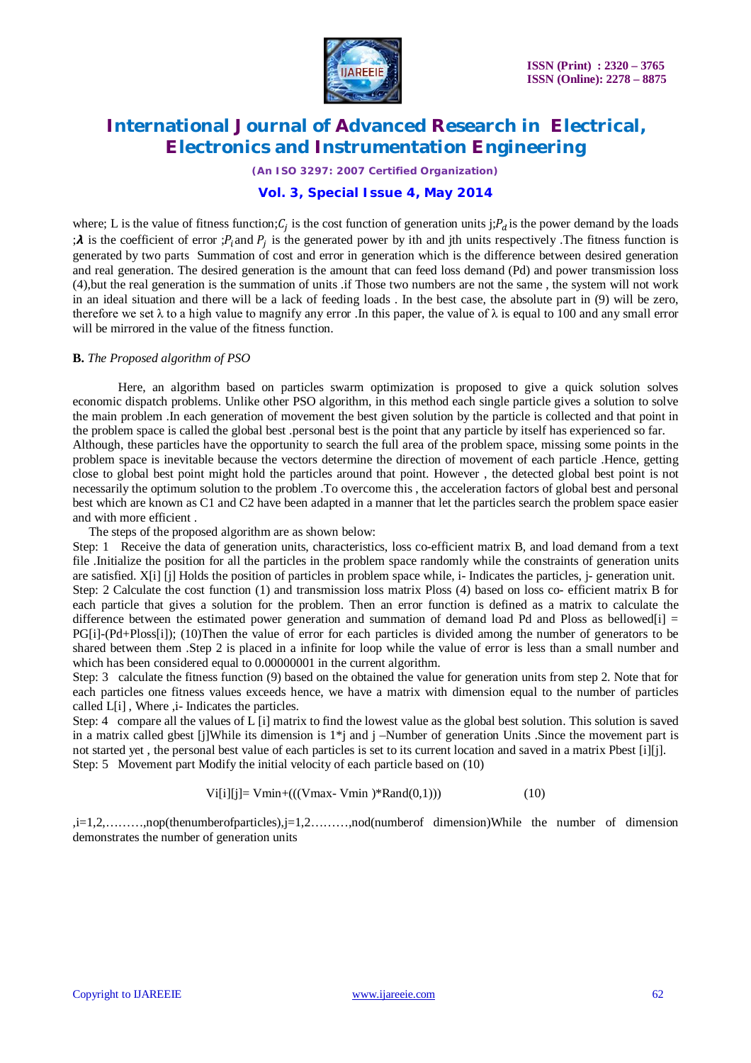

*(An ISO 3297: 2007 Certified Organization)*

## **Vol. 3, Special Issue 4, May 2014**

where; L is the value of fitness function;  $C_j$  is the cost function of generation units j;  $P_d$  is the power demand by the loads  $:\lambda$  is the coefficient of error  $:P_i$  and  $P_j$  is the generated power by ith and jth units respectively. The fitness function is generated by two parts Summation of cost and error in generation which is the difference between desired generation and real generation. The desired generation is the amount that can feed loss demand (Pd) and power transmission loss (4),but the real generation is the summation of units .if Those two numbers are not the same , the system will not work in an ideal situation and there will be a lack of feeding loads . In the best case, the absolute part in (9) will be zero, therefore we set  $\lambda$  to a high value to magnify any error. In this paper, the value of  $\lambda$  is equal to 100 and any small error will be mirrored in the value of the fitness function.

## **B.** *The Proposed algorithm of PSO*

Here, an algorithm based on particles swarm optimization is proposed to give a quick solution solves economic dispatch problems. Unlike other PSO algorithm, in this method each single particle gives a solution to solve the main problem .In each generation of movement the best given solution by the particle is collected and that point in the problem space is called the global best .personal best is the point that any particle by itself has experienced so far. Although, these particles have the opportunity to search the full area of the problem space, missing some points in the problem space is inevitable because the vectors determine the direction of movement of each particle .Hence, getting close to global best point might hold the particles around that point. However , the detected global best point is not necessarily the optimum solution to the problem .To overcome this , the acceleration factors of global best and personal best which are known as C1 and C2 have been adapted in a manner that let the particles search the problem space easier and with more efficient .

The steps of the proposed algorithm are as shown below:

Step: 1 Receive the data of generation units, characteristics, loss co-efficient matrix B, and load demand from a text file .Initialize the position for all the particles in the problem space randomly while the constraints of generation units are satisfied. X[i] [j] Holds the position of particles in problem space while, i- Indicates the particles, j- generation unit. Step: 2 Calculate the cost function (1) and transmission loss matrix Ploss (4) based on loss co- efficient matrix B for each particle that gives a solution for the problem. Then an error function is defined as a matrix to calculate the difference between the estimated power generation and summation of demand load Pd and Ploss as bellowed $[i]$  = PG[i]-(Pd+Ploss[i]); (10)Then the value of error for each particles is divided among the number of generators to be shared between them .Step 2 is placed in a infinite for loop while the value of error is less than a small number and which has been considered equal to 0.00000001 in the current algorithm.

Step: 3 calculate the fitness function (9) based on the obtained the value for generation units from step 2. Note that for each particles one fitness values exceeds hence, we have a matrix with dimension equal to the number of particles called L[i] , Where ,i- Indicates the particles.

Step: 4 compare all the values of L [i] matrix to find the lowest value as the global best solution. This solution is saved in a matrix called gbest [j]While its dimension is  $1 * j$  and j –Number of generation Units .Since the movement part is not started yet , the personal best value of each particles is set to its current location and saved in a matrix Pbest [i][j]. Step: 5 Movement part Modify the initial velocity of each particle based on (10)

$$
Vi[i][j] = Vmin+(((Vmax-Vmin)*Rand(0,1)))
$$
\n(10)

,i=1,2,..........,nop(thenumberofparticles),j=1,2.........,nod(numberof dimension)While the number of dimension demonstrates the number of generation units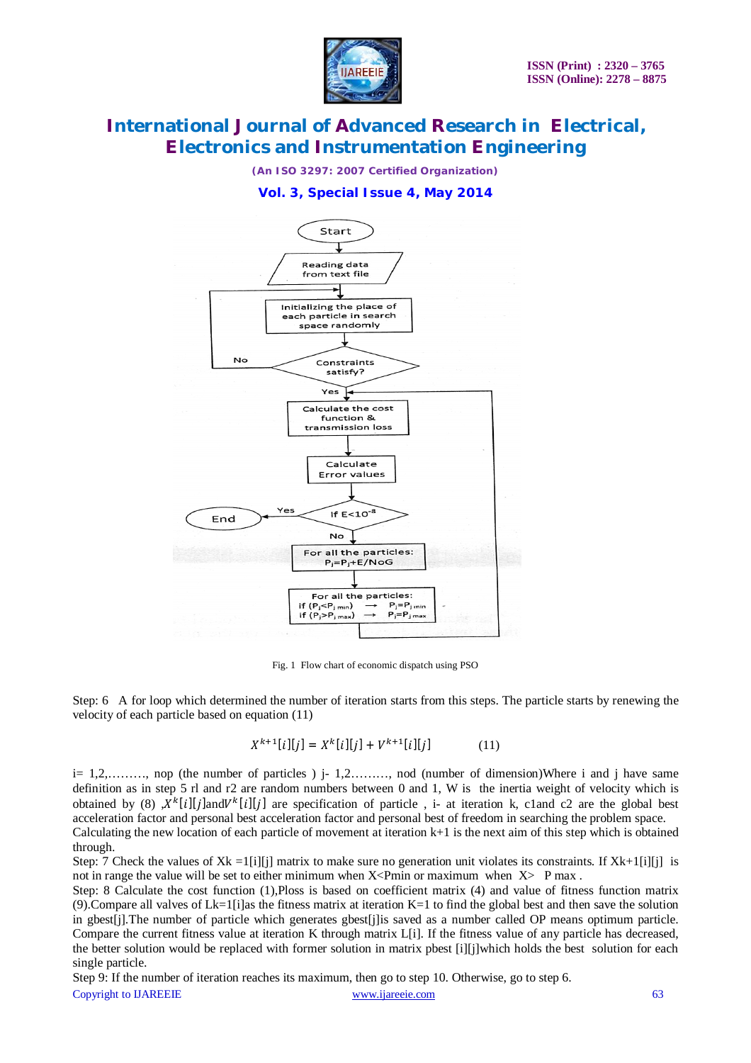

*(An ISO 3297: 2007 Certified Organization)*

## **Vol. 3, Special Issue 4, May 2014**



Fig. 1 Flow chart of economic dispatch using PSO

Step: 6 A for loop which determined the number of iteration starts from this steps. The particle starts by renewing the velocity of each particle based on equation (11)

$$
X^{k+1}[i][j] = X^{k}[i][j] + V^{k+1}[i][j] \tag{11}
$$

 $i=1,2,\ldots, n$  nop (the number of particles)  $i=1,2,\ldots, n$  nod (number of dimension)Where i and j have same definition as in step 5 rl and r2 are random numbers between 0 and 1, W is the inertia weight of velocity which is obtained by (8)  $X^k[i][j]$ and $V^k[i][j]$  are specification of particle, i- at iteration k, cland c2 are the global best acceleration factor and personal best acceleration factor and personal best of freedom in searching the problem space. Calculating the new location of each particle of movement at iteration k+1 is the next aim of this step which is obtained through.

Step: 7 Check the values of  $Xk = \frac{1}{i}$ [i] matrix to make sure no generation unit violates its constraints. If  $Xk + \frac{1}{i}$ [i] is not in range the value will be set to either minimum when  $X \leq Pm$  or maximum when  $X \geq Pm$ ax.

Step: 8 Calculate the cost function (1),Ploss is based on coefficient matrix (4) and value of fitness function matrix (9). Compare all valves of  $Lk=1$  [i]as the fitness matrix at iteration  $K=1$  to find the global best and then save the solution in gbest[j].The number of particle which generates gbest[j]is saved as a number called OP means optimum particle. Compare the current fitness value at iteration K through matrix L[i]. If the fitness value of any particle has decreased, the better solution would be replaced with former solution in matrix pbest [i][j]which holds the best solution for each single particle.

Copyright to IJAREEIE www.ijareeie.com 63 Step 9: If the number of iteration reaches its maximum, then go to step 10. Otherwise, go to step 6.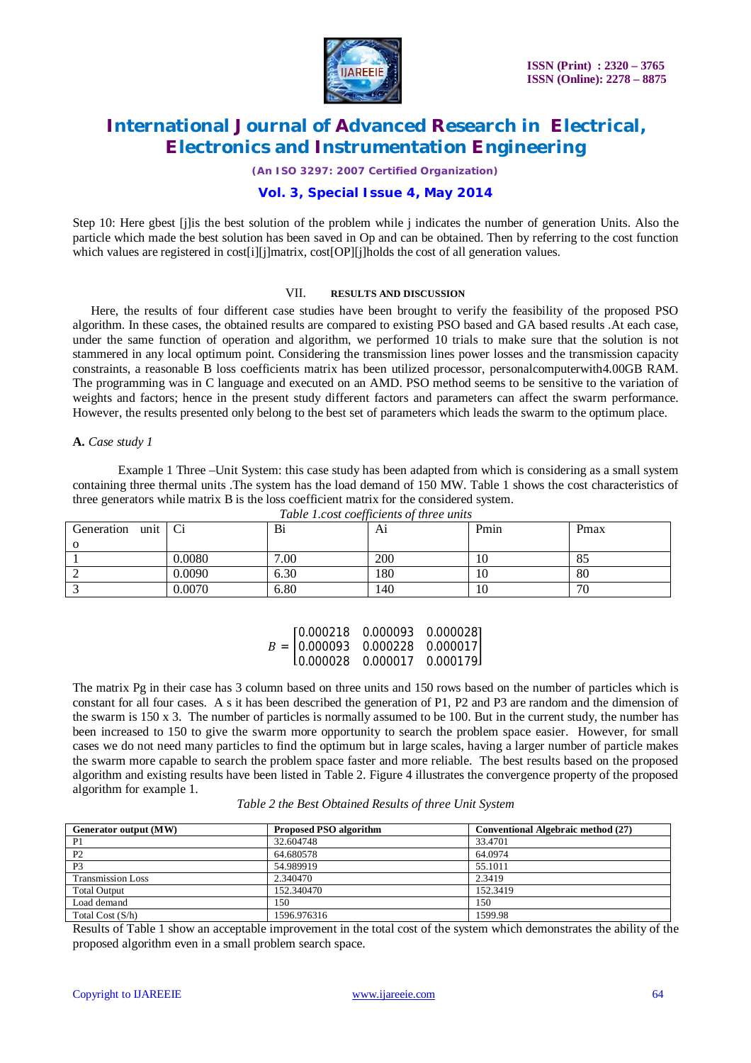

*(An ISO 3297: 2007 Certified Organization)*

## **Vol. 3, Special Issue 4, May 2014**

Step 10: Here gbest [j]is the best solution of the problem while j indicates the number of generation Units. Also the particle which made the best solution has been saved in Op and can be obtained. Then by referring to the cost function which values are registered in cost[i][j]matrix, cost[OP][j]holds the cost of all generation values.

### VII. **RESULTS AND DISCUSSION**

Here, the results of four different case studies have been brought to verify the feasibility of the proposed PSO algorithm. In these cases, the obtained results are compared to existing PSO based and GA based results .At each case, under the same function of operation and algorithm, we performed 10 trials to make sure that the solution is not stammered in any local optimum point. Considering the transmission lines power losses and the transmission capacity constraints, a reasonable B loss coefficients matrix has been utilized processor, personalcomputerwith4.00GB RAM. The programming was in C language and executed on an AMD. PSO method seems to be sensitive to the variation of weights and factors; hence in the present study different factors and parameters can affect the swarm performance. However, the results presented only belong to the best set of parameters which leads the swarm to the optimum place.

### **A.** *Case study 1*

Example 1 Three –Unit System: this case study has been adapted from which is considering as a small system containing three thermal units .The system has the load demand of 150 MW. Table 1 shows the cost characteristics of three generators while matrix B is the loss coefficient matrix for the considered system.

| Generation<br>unit |        | Bi   | A1         | Pmin | Pmax |
|--------------------|--------|------|------------|------|------|
| $\Omega$           |        |      |            |      |      |
|                    | 0.0080 | .00. | <b>200</b> | 10   | 85   |
|                    | 0.0090 | 6.30 | 180        | 10   | 80   |
|                    | 0.0070 | 6.80 | 140        | 10   | 70   |

|  | $[0.000218 \quad 0.000093 \quad 0.000028]$                         |  |
|--|--------------------------------------------------------------------|--|
|  | $B = \begin{bmatrix} 0.000093 & 0.000228 & 0.000017 \end{bmatrix}$ |  |
|  | L0.000028  0.000017  0.000179                                      |  |

The matrix Pg in their case has 3 column based on three units and 150 rows based on the number of particles which is constant for all four cases. A s it has been described the generation of P1, P2 and P3 are random and the dimension of the swarm is 150 x 3. The number of particles is normally assumed to be 100. But in the current study, the number has been increased to 150 to give the swarm more opportunity to search the problem space easier. However, for small cases we do not need many particles to find the optimum but in large scales, having a larger number of particle makes the swarm more capable to search the problem space faster and more reliable. The best results based on the proposed algorithm and existing results have been listed in Table 2. Figure 4 illustrates the convergence property of the proposed algorithm for example 1.

| Table 2 the Best Obtained Results of three Unit System |  |  |  |  |
|--------------------------------------------------------|--|--|--|--|
|                                                        |  |  |  |  |

| Generator output (MW)    | <b>Proposed PSO algorithm</b> | Conventional Algebraic method (27) |
|--------------------------|-------------------------------|------------------------------------|
| P <sub>1</sub>           | 32.604748                     | 33.4701                            |
| P <sub>2</sub>           | 64.680578                     | 64.0974                            |
| P <sub>3</sub>           | 54.989919                     | 55.1011                            |
| <b>Transmission Loss</b> | 2.340470                      | 2.3419                             |
| <b>Total Output</b>      | 152.340470                    | 152.3419                           |
| Load demand              | 150                           | 150                                |
| Total Cost $(S/h)$       | 1596.976316                   | 1599.98                            |

Results of Table 1 show an acceptable improvement in the total cost of the system which demonstrates the ability of the proposed algorithm even in a small problem search space.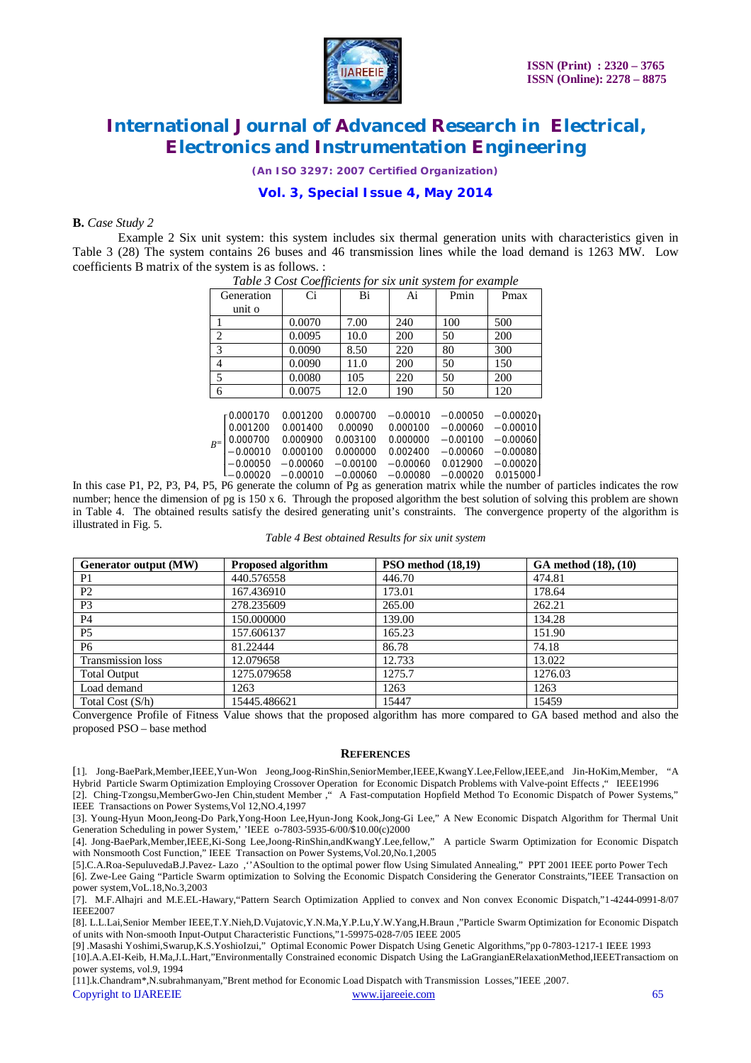

*(An ISO 3297: 2007 Certified Organization)*

## **Vol. 3, Special Issue 4, May 2014**

### **B.** *Case Study 2*

Example 2 Six unit system: this system includes six thermal generation units with characteristics given in Table 3 (28) The system contains 26 buses and 46 transmission lines while the load demand is 1263 MW. Low coefficients B matrix of the system is as follows. :

| Table 3 Cost Coefficients for six unit system for example |            |            |            |            |            |            |  |
|-----------------------------------------------------------|------------|------------|------------|------------|------------|------------|--|
|                                                           | Generation | Ci         | Bi         | Ai         | Pmin       | Pmax       |  |
|                                                           | unit o     |            |            |            |            |            |  |
|                                                           |            | 0.0070     | 7.00       | 240        | 100        | 500        |  |
| $\overline{2}$                                            |            | 0.0095     | 10.0       | 200        | 50         | 200        |  |
| 3                                                         |            | 0.0090     | 8.50       | 220        | 80         | 300        |  |
| 4                                                         |            | 0.0090     | 11.0       | 200        | 50         | 150        |  |
| 5                                                         |            | 0.0080     | 105        | 220        | 50         | 200        |  |
| 6                                                         |            | 0.0075     | 12.0       | 190        | 50         | 120        |  |
|                                                           |            |            |            |            |            |            |  |
|                                                           | 0.000170   | 0.001200   | 0.000700   | $-0.00010$ | $-0.00050$ | $-0.00020$ |  |
| $R^=$                                                     | 0.001200   | 0.001400   | 0.00090    | 0.000100   | $-0.00060$ | $-0.00010$ |  |
|                                                           | 0.000700   | 0.000900   | 0.003100   | 0.000000   | $-0.00100$ | $-0.00060$ |  |
|                                                           | -0.00010   | 0.000100   | 0.000000   | 0.002400   | $-0.00060$ | $-0.00080$ |  |
|                                                           | $-0.00050$ | $-0.00060$ | $-0.00100$ | $-0.00060$ | 0.012900   | $-0.00020$ |  |
|                                                           | 0.00020    | $-0.00010$ | $-0.00060$ | $-0.00080$ | $-0.00020$ | 0.015000   |  |

In this case P1, P2, P3, P4, P5, P6 generate the column of Pg as generation matrix while the number of particles indicates the row number; hence the dimension of pg is 150 x 6. Through the proposed algorithm the best solution of solving this problem are shown in Table 4. The obtained results satisfy the desired generating unit's constraints. The convergence property of the algorithm is illustrated in Fig. 5.

| Table 4 Best obtained Results for six unit system |  |  |
|---------------------------------------------------|--|--|
|---------------------------------------------------|--|--|

| Generator output (MW)    | <b>Proposed algorithm</b> | PSO method (18,19) | GA method (18), (10) |
|--------------------------|---------------------------|--------------------|----------------------|
| P <sub>1</sub>           | 440.576558                | 446.70             | 474.81               |
| P <sub>2</sub>           | 167.436910                | 173.01             | 178.64               |
| P <sub>3</sub>           | 278.235609                | 265.00             | 262.21               |
| P <sub>4</sub>           | 150.000000                | 139.00             | 134.28               |
| P <sub>5</sub>           | 157.606137                | 165.23             | 151.90               |
| P <sub>6</sub>           | 81.22444                  | 86.78              | 74.18                |
| <b>Transmission loss</b> | 12.079658                 | 12.733             | 13.022               |
| <b>Total Output</b>      | 1275.079658               | 1275.7             | 1276.03              |
| Load demand              | 1263                      | 1263               | 1263                 |
| Total Cost (S/h)         | 15445.486621              | 15447              | 15459                |

Convergence Profile of Fitness Value shows that the proposed algorithm has more compared to GA based method and also the proposed PSO – base method

#### **REFERENCES**

[1]. Jong-BaePark,Member,IEEE,Yun-Won Jeong,Joog-RinShin,SeniorMember,IEEE,KwangY.Lee,Fellow,IEEE,and Jin-HoKim,Member, "A Hybrid Particle Swarm Optimization Employing Crossover Operation for Economic Dispatch Problems with Valve-point Effects ," IEEE1996

[2]. Ching-Tzongsu,MemberGwo-Jen Chin,student Member ," A Fast-computation Hopfield Method To Economic Dispatch of Power Systems," IEEE Transactions on Power Systems,Vol 12,NO.4,1997

[3]. Young-Hyun Moon,Jeong-Do Park,Yong-Hoon Lee,Hyun-Jong Kook,Jong-Gi Lee," A New Economic Dispatch Algorithm for Thermal Unit Generation Scheduling in power System,' 'IEEE o-7803-5935-6/00/\$10.00(c)2000

[4]. Jong-BaePark,Member,IEEE,Ki-Song Lee,Joong-RinShin,andKwangY.Lee,fellow," A particle Swarm Optimization for Economic Dispatch with Nonsmooth Cost Function," IEEE Transaction on Power Systems,Vol.20,No.1,2005

[5].C.A.Roa-SepuluvedaB.J.Pavez- Lazo ,''ASoultion to the optimal power flow Using Simulated Annealing," PPT 2001 IEEE porto Power Tech [6]. Zwe-Lee Gaing "Particle Swarm optimization to Solving the Economic Dispatch Considering the Generator Constraints,"IEEE Transaction on power system,VoL.18,No.3,2003

[7]. M.F.Alhajri and M.E.EL-Hawary,"Pattern Search Optimization Applied to convex and Non convex Economic Dispatch,"1-4244-0991-8/07 IEEE2007

[8]. L.L.Lai,Senior Member IEEE,T.Y.Nieh,D.Vujatovic,Y.N.Ma,Y.P.Lu,Y.W.Yang,H.Braun ,"Particle Swarm Optimization for Economic Dispatch of units with Non-smooth Input-Output Characteristic Functions,"1-59975-028-7/05 IEEE 2005

[9] .Masashi Yoshimi,Swarup,K.S.YoshioIzui," Optimal Economic Power Dispatch Using Genetic Algorithms,"pp 0-7803-1217-1 IEEE 1993

[10].A.A.EI-Keib, H.Ma,J.L.Hart,"Environmentally Constrained economic Dispatch Using the LaGrangianERelaxationMethod,IEEETransactiom on power systems, vol.9, 1994

Copyright to IJAREEIE www.ijareeie.com 65 [11].k.Chandram\*,N.subrahmanyam,"Brent method for Economic Load Dispatch with Transmission Losses,"IEEE ,2007.